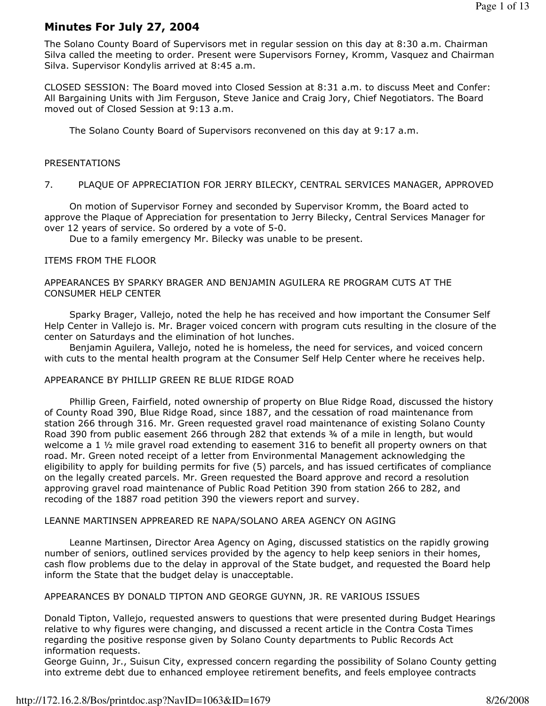# Minutes For July 27, 2004

The Solano County Board of Supervisors met in regular session on this day at 8:30 a.m. Chairman Silva called the meeting to order. Present were Supervisors Forney, Kromm, Vasquez and Chairman Silva. Supervisor Kondylis arrived at 8:45 a.m.

CLOSED SESSION: The Board moved into Closed Session at 8:31 a.m. to discuss Meet and Confer: All Bargaining Units with Jim Ferguson, Steve Janice and Craig Jory, Chief Negotiators. The Board moved out of Closed Session at 9:13 a.m.

The Solano County Board of Supervisors reconvened on this day at 9:17 a.m.

## PRESENTATIONS

## 7. PLAQUE OF APPRECIATION FOR JERRY BILECKY, CENTRAL SERVICES MANAGER, APPROVED

 On motion of Supervisor Forney and seconded by Supervisor Kromm, the Board acted to approve the Plaque of Appreciation for presentation to Jerry Bilecky, Central Services Manager for over 12 years of service. So ordered by a vote of 5-0.

Due to a family emergency Mr. Bilecky was unable to be present.

## ITEMS FROM THE FLOOR

## APPEARANCES BY SPARKY BRAGER AND BENJAMIN AGUILERA RE PROGRAM CUTS AT THE CONSUMER HELP CENTER

 Sparky Brager, Vallejo, noted the help he has received and how important the Consumer Self Help Center in Vallejo is. Mr. Brager voiced concern with program cuts resulting in the closure of the center on Saturdays and the elimination of hot lunches.

 Benjamin Aguilera, Vallejo, noted he is homeless, the need for services, and voiced concern with cuts to the mental health program at the Consumer Self Help Center where he receives help.

### APPEARANCE BY PHILLIP GREEN RE BLUE RIDGE ROAD

 Phillip Green, Fairfield, noted ownership of property on Blue Ridge Road, discussed the history of County Road 390, Blue Ridge Road, since 1887, and the cessation of road maintenance from station 266 through 316. Mr. Green requested gravel road maintenance of existing Solano County Road 390 from public easement 266 through 282 that extends ¾ of a mile in length, but would welcome a 1  $\frac{1}{2}$  mile gravel road extending to easement 316 to benefit all property owners on that road. Mr. Green noted receipt of a letter from Environmental Management acknowledging the eligibility to apply for building permits for five (5) parcels, and has issued certificates of compliance on the legally created parcels. Mr. Green requested the Board approve and record a resolution approving gravel road maintenance of Public Road Petition 390 from station 266 to 282, and recoding of the 1887 road petition 390 the viewers report and survey.

#### LEANNE MARTINSEN APPREARED RE NAPA/SOLANO AREA AGENCY ON AGING

 Leanne Martinsen, Director Area Agency on Aging, discussed statistics on the rapidly growing number of seniors, outlined services provided by the agency to help keep seniors in their homes, cash flow problems due to the delay in approval of the State budget, and requested the Board help inform the State that the budget delay is unacceptable.

#### APPEARANCES BY DONALD TIPTON AND GEORGE GUYNN, JR. RE VARIOUS ISSUES

Donald Tipton, Vallejo, requested answers to questions that were presented during Budget Hearings relative to why figures were changing, and discussed a recent article in the Contra Costa Times regarding the positive response given by Solano County departments to Public Records Act information requests.

George Guinn, Jr., Suisun City, expressed concern regarding the possibility of Solano County getting into extreme debt due to enhanced employee retirement benefits, and feels employee contracts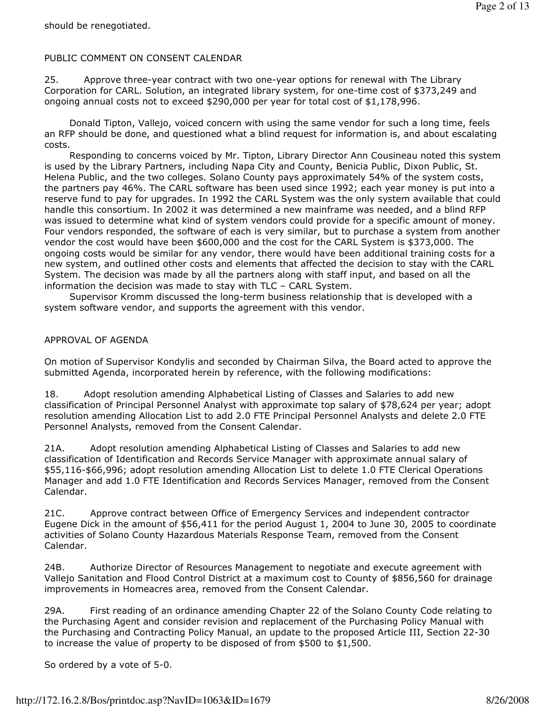# PUBLIC COMMENT ON CONSENT CALENDAR

25. Approve three-year contract with two one-year options for renewal with The Library Corporation for CARL. Solution, an integrated library system, for one-time cost of \$373,249 and ongoing annual costs not to exceed \$290,000 per year for total cost of \$1,178,996.

 Donald Tipton, Vallejo, voiced concern with using the same vendor for such a long time, feels an RFP should be done, and questioned what a blind request for information is, and about escalating costs.

 Responding to concerns voiced by Mr. Tipton, Library Director Ann Cousineau noted this system is used by the Library Partners, including Napa City and County, Benicia Public, Dixon Public, St. Helena Public, and the two colleges. Solano County pays approximately 54% of the system costs, the partners pay 46%. The CARL software has been used since 1992; each year money is put into a reserve fund to pay for upgrades. In 1992 the CARL System was the only system available that could handle this consortium. In 2002 it was determined a new mainframe was needed, and a blind RFP was issued to determine what kind of system vendors could provide for a specific amount of money. Four vendors responded, the software of each is very similar, but to purchase a system from another vendor the cost would have been \$600,000 and the cost for the CARL System is \$373,000. The ongoing costs would be similar for any vendor, there would have been additional training costs for a new system, and outlined other costs and elements that affected the decision to stay with the CARL System. The decision was made by all the partners along with staff input, and based on all the information the decision was made to stay with TLC – CARL System.

 Supervisor Kromm discussed the long-term business relationship that is developed with a system software vendor, and supports the agreement with this vendor.

# APPROVAL OF AGENDA

On motion of Supervisor Kondylis and seconded by Chairman Silva, the Board acted to approve the submitted Agenda, incorporated herein by reference, with the following modifications:

18. Adopt resolution amending Alphabetical Listing of Classes and Salaries to add new classification of Principal Personnel Analyst with approximate top salary of \$78,624 per year; adopt resolution amending Allocation List to add 2.0 FTE Principal Personnel Analysts and delete 2.0 FTE Personnel Analysts, removed from the Consent Calendar.

21A. Adopt resolution amending Alphabetical Listing of Classes and Salaries to add new classification of Identification and Records Service Manager with approximate annual salary of \$55,116-\$66,996; adopt resolution amending Allocation List to delete 1.0 FTE Clerical Operations Manager and add 1.0 FTE Identification and Records Services Manager, removed from the Consent Calendar.

21C. Approve contract between Office of Emergency Services and independent contractor Eugene Dick in the amount of \$56,411 for the period August 1, 2004 to June 30, 2005 to coordinate activities of Solano County Hazardous Materials Response Team, removed from the Consent Calendar.

24B. Authorize Director of Resources Management to negotiate and execute agreement with Vallejo Sanitation and Flood Control District at a maximum cost to County of \$856,560 for drainage improvements in Homeacres area, removed from the Consent Calendar.

29A. First reading of an ordinance amending Chapter 22 of the Solano County Code relating to the Purchasing Agent and consider revision and replacement of the Purchasing Policy Manual with the Purchasing and Contracting Policy Manual, an update to the proposed Article III, Section 22-30 to increase the value of property to be disposed of from \$500 to \$1,500.

So ordered by a vote of 5-0.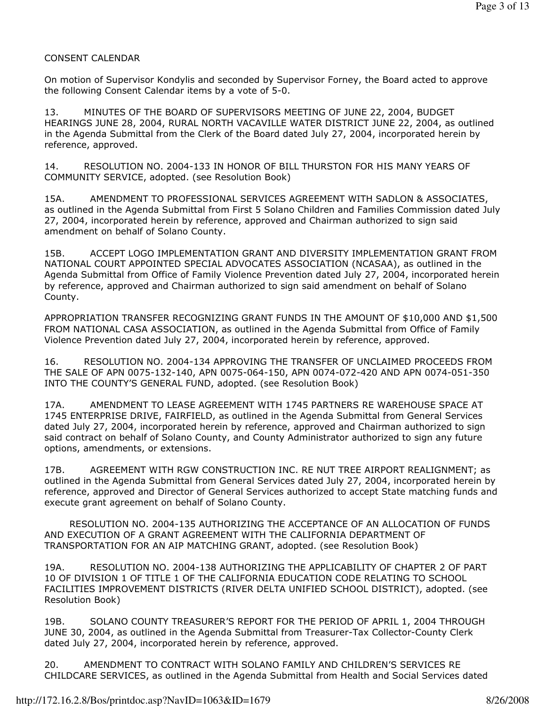# CONSENT CALENDAR

On motion of Supervisor Kondylis and seconded by Supervisor Forney, the Board acted to approve the following Consent Calendar items by a vote of 5-0.

13. MINUTES OF THE BOARD OF SUPERVISORS MEETING OF JUNE 22, 2004, BUDGET HEARINGS JUNE 28, 2004, RURAL NORTH VACAVILLE WATER DISTRICT JUNE 22, 2004, as outlined in the Agenda Submittal from the Clerk of the Board dated July 27, 2004, incorporated herein by reference, approved.

14. RESOLUTION NO. 2004-133 IN HONOR OF BILL THURSTON FOR HIS MANY YEARS OF COMMUNITY SERVICE, adopted. (see Resolution Book)

15A. AMENDMENT TO PROFESSIONAL SERVICES AGREEMENT WITH SADLON & ASSOCIATES, as outlined in the Agenda Submittal from First 5 Solano Children and Families Commission dated July 27, 2004, incorporated herein by reference, approved and Chairman authorized to sign said amendment on behalf of Solano County.

15B. ACCEPT LOGO IMPLEMENTATION GRANT AND DIVERSITY IMPLEMENTATION GRANT FROM NATIONAL COURT APPOINTED SPECIAL ADVOCATES ASSOCIATION (NCASAA), as outlined in the Agenda Submittal from Office of Family Violence Prevention dated July 27, 2004, incorporated herein by reference, approved and Chairman authorized to sign said amendment on behalf of Solano County.

APPROPRIATION TRANSFER RECOGNIZING GRANT FUNDS IN THE AMOUNT OF \$10,000 AND \$1,500 FROM NATIONAL CASA ASSOCIATION, as outlined in the Agenda Submittal from Office of Family Violence Prevention dated July 27, 2004, incorporated herein by reference, approved.

16. RESOLUTION NO. 2004-134 APPROVING THE TRANSFER OF UNCLAIMED PROCEEDS FROM THE SALE OF APN 0075-132-140, APN 0075-064-150, APN 0074-072-420 AND APN 0074-051-350 INTO THE COUNTY'S GENERAL FUND, adopted. (see Resolution Book)

17A. AMENDMENT TO LEASE AGREEMENT WITH 1745 PARTNERS RE WAREHOUSE SPACE AT 1745 ENTERPRISE DRIVE, FAIRFIELD, as outlined in the Agenda Submittal from General Services dated July 27, 2004, incorporated herein by reference, approved and Chairman authorized to sign said contract on behalf of Solano County, and County Administrator authorized to sign any future options, amendments, or extensions.

17B. AGREEMENT WITH RGW CONSTRUCTION INC. RE NUT TREE AIRPORT REALIGNMENT; as outlined in the Agenda Submittal from General Services dated July 27, 2004, incorporated herein by reference, approved and Director of General Services authorized to accept State matching funds and execute grant agreement on behalf of Solano County.

 RESOLUTION NO. 2004-135 AUTHORIZING THE ACCEPTANCE OF AN ALLOCATION OF FUNDS AND EXECUTION OF A GRANT AGREEMENT WITH THE CALIFORNIA DEPARTMENT OF TRANSPORTATION FOR AN AIP MATCHING GRANT, adopted. (see Resolution Book)

19A. RESOLUTION NO. 2004-138 AUTHORIZING THE APPLICABILITY OF CHAPTER 2 OF PART 10 OF DIVISION 1 OF TITLE 1 OF THE CALIFORNIA EDUCATION CODE RELATING TO SCHOOL FACILITIES IMPROVEMENT DISTRICTS (RIVER DELTA UNIFIED SCHOOL DISTRICT), adopted. (see Resolution Book)

19B. SOLANO COUNTY TREASURER'S REPORT FOR THE PERIOD OF APRIL 1, 2004 THROUGH JUNE 30, 2004, as outlined in the Agenda Submittal from Treasurer-Tax Collector-County Clerk dated July 27, 2004, incorporated herein by reference, approved.

20. AMENDMENT TO CONTRACT WITH SOLANO FAMILY AND CHILDREN'S SERVICES RE CHILDCARE SERVICES, as outlined in the Agenda Submittal from Health and Social Services dated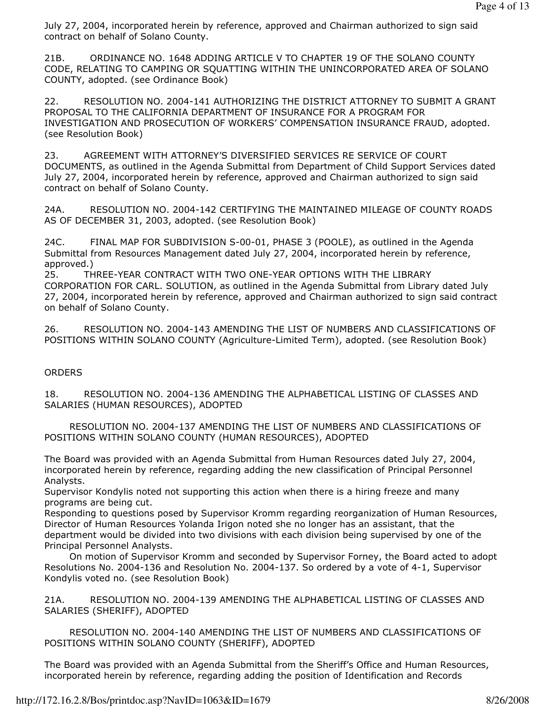July 27, 2004, incorporated herein by reference, approved and Chairman authorized to sign said contract on behalf of Solano County.

21B. ORDINANCE NO. 1648 ADDING ARTICLE V TO CHAPTER 19 OF THE SOLANO COUNTY CODE, RELATING TO CAMPING OR SQUATTING WITHIN THE UNINCORPORATED AREA OF SOLANO COUNTY, adopted. (see Ordinance Book)

22. RESOLUTION NO. 2004-141 AUTHORIZING THE DISTRICT ATTORNEY TO SUBMIT A GRANT PROPOSAL TO THE CALIFORNIA DEPARTMENT OF INSURANCE FOR A PROGRAM FOR INVESTIGATION AND PROSECUTION OF WORKERS' COMPENSATION INSURANCE FRAUD, adopted. (see Resolution Book)

23. AGREEMENT WITH ATTORNEY'S DIVERSIFIED SERVICES RE SERVICE OF COURT DOCUMENTS, as outlined in the Agenda Submittal from Department of Child Support Services dated July 27, 2004, incorporated herein by reference, approved and Chairman authorized to sign said contract on behalf of Solano County.

24A. RESOLUTION NO. 2004-142 CERTIFYING THE MAINTAINED MILEAGE OF COUNTY ROADS AS OF DECEMBER 31, 2003, adopted. (see Resolution Book)

24C. FINAL MAP FOR SUBDIVISION S-00-01, PHASE 3 (POOLE), as outlined in the Agenda Submittal from Resources Management dated July 27, 2004, incorporated herein by reference, approved.)

25. THREE-YEAR CONTRACT WITH TWO ONE-YEAR OPTIONS WITH THE LIBRARY CORPORATION FOR CARL. SOLUTION, as outlined in the Agenda Submittal from Library dated July 27, 2004, incorporated herein by reference, approved and Chairman authorized to sign said contract on behalf of Solano County.

26. RESOLUTION NO. 2004-143 AMENDING THE LIST OF NUMBERS AND CLASSIFICATIONS OF POSITIONS WITHIN SOLANO COUNTY (Agriculture-Limited Term), adopted. (see Resolution Book)

# **ORDERS**

18. RESOLUTION NO. 2004-136 AMENDING THE ALPHABETICAL LISTING OF CLASSES AND SALARIES (HUMAN RESOURCES), ADOPTED

 RESOLUTION NO. 2004-137 AMENDING THE LIST OF NUMBERS AND CLASSIFICATIONS OF POSITIONS WITHIN SOLANO COUNTY (HUMAN RESOURCES), ADOPTED

The Board was provided with an Agenda Submittal from Human Resources dated July 27, 2004, incorporated herein by reference, regarding adding the new classification of Principal Personnel Analysts.

Supervisor Kondylis noted not supporting this action when there is a hiring freeze and many programs are being cut.

Responding to questions posed by Supervisor Kromm regarding reorganization of Human Resources, Director of Human Resources Yolanda Irigon noted she no longer has an assistant, that the department would be divided into two divisions with each division being supervised by one of the Principal Personnel Analysts.

 On motion of Supervisor Kromm and seconded by Supervisor Forney, the Board acted to adopt Resolutions No. 2004-136 and Resolution No. 2004-137. So ordered by a vote of 4-1, Supervisor Kondylis voted no. (see Resolution Book)

21A. RESOLUTION NO. 2004-139 AMENDING THE ALPHABETICAL LISTING OF CLASSES AND SALARIES (SHERIFF), ADOPTED

 RESOLUTION NO. 2004-140 AMENDING THE LIST OF NUMBERS AND CLASSIFICATIONS OF POSITIONS WITHIN SOLANO COUNTY (SHERIFF), ADOPTED

The Board was provided with an Agenda Submittal from the Sheriff's Office and Human Resources, incorporated herein by reference, regarding adding the position of Identification and Records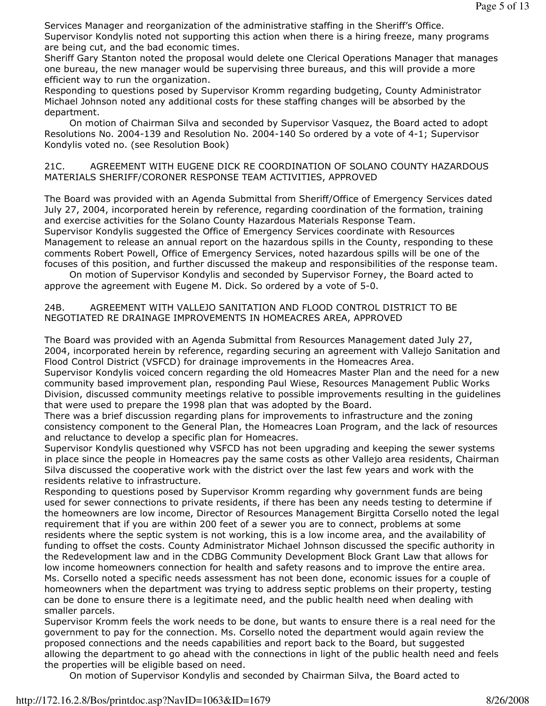Services Manager and reorganization of the administrative staffing in the Sheriff's Office.

Supervisor Kondylis noted not supporting this action when there is a hiring freeze, many programs are being cut, and the bad economic times.

Sheriff Gary Stanton noted the proposal would delete one Clerical Operations Manager that manages one bureau, the new manager would be supervising three bureaus, and this will provide a more efficient way to run the organization.

Responding to questions posed by Supervisor Kromm regarding budgeting, County Administrator Michael Johnson noted any additional costs for these staffing changes will be absorbed by the department.

 On motion of Chairman Silva and seconded by Supervisor Vasquez, the Board acted to adopt Resolutions No. 2004-139 and Resolution No. 2004-140 So ordered by a vote of 4-1; Supervisor Kondylis voted no. (see Resolution Book)

21C. AGREEMENT WITH EUGENE DICK RE COORDINATION OF SOLANO COUNTY HAZARDOUS MATERIALS SHERIFF/CORONER RESPONSE TEAM ACTIVITIES, APPROVED

The Board was provided with an Agenda Submittal from Sheriff/Office of Emergency Services dated July 27, 2004, incorporated herein by reference, regarding coordination of the formation, training and exercise activities for the Solano County Hazardous Materials Response Team. Supervisor Kondylis suggested the Office of Emergency Services coordinate with Resources Management to release an annual report on the hazardous spills in the County, responding to these comments Robert Powell, Office of Emergency Services, noted hazardous spills will be one of the focuses of this position, and further discussed the makeup and responsibilities of the response team.

 On motion of Supervisor Kondylis and seconded by Supervisor Forney, the Board acted to approve the agreement with Eugene M. Dick. So ordered by a vote of 5-0.

# 24B. AGREEMENT WITH VALLEJO SANITATION AND FLOOD CONTROL DISTRICT TO BE NEGOTIATED RE DRAINAGE IMPROVEMENTS IN HOMEACRES AREA, APPROVED

The Board was provided with an Agenda Submittal from Resources Management dated July 27, 2004, incorporated herein by reference, regarding securing an agreement with Vallejo Sanitation and Flood Control District (VSFCD) for drainage improvements in the Homeacres Area.

Supervisor Kondylis voiced concern regarding the old Homeacres Master Plan and the need for a new community based improvement plan, responding Paul Wiese, Resources Management Public Works Division, discussed community meetings relative to possible improvements resulting in the guidelines that were used to prepare the 1998 plan that was adopted by the Board.

There was a brief discussion regarding plans for improvements to infrastructure and the zoning consistency component to the General Plan, the Homeacres Loan Program, and the lack of resources and reluctance to develop a specific plan for Homeacres.

Supervisor Kondylis questioned why VSFCD has not been upgrading and keeping the sewer systems in place since the people in Homeacres pay the same costs as other Vallejo area residents, Chairman Silva discussed the cooperative work with the district over the last few years and work with the residents relative to infrastructure.

Responding to questions posed by Supervisor Kromm regarding why government funds are being used for sewer connections to private residents, if there has been any needs testing to determine if the homeowners are low income, Director of Resources Management Birgitta Corsello noted the legal requirement that if you are within 200 feet of a sewer you are to connect, problems at some residents where the septic system is not working, this is a low income area, and the availability of funding to offset the costs. County Administrator Michael Johnson discussed the specific authority in the Redevelopment law and in the CDBG Community Development Block Grant Law that allows for low income homeowners connection for health and safety reasons and to improve the entire area. Ms. Corsello noted a specific needs assessment has not been done, economic issues for a couple of homeowners when the department was trying to address septic problems on their property, testing can be done to ensure there is a legitimate need, and the public health need when dealing with smaller parcels.

Supervisor Kromm feels the work needs to be done, but wants to ensure there is a real need for the government to pay for the connection. Ms. Corsello noted the department would again review the proposed connections and the needs capabilities and report back to the Board, but suggested allowing the department to go ahead with the connections in light of the public health need and feels the properties will be eligible based on need.

On motion of Supervisor Kondylis and seconded by Chairman Silva, the Board acted to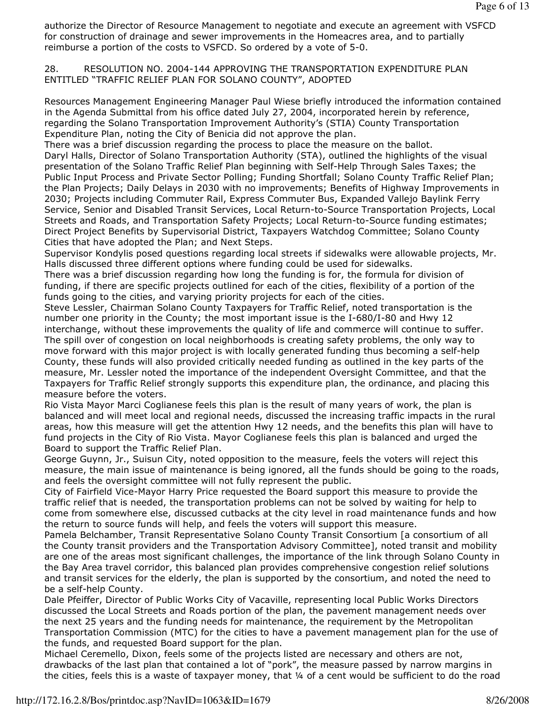authorize the Director of Resource Management to negotiate and execute an agreement with VSFCD for construction of drainage and sewer improvements in the Homeacres area, and to partially reimburse a portion of the costs to VSFCD. So ordered by a vote of 5-0.

28. RESOLUTION NO. 2004-144 APPROVING THE TRANSPORTATION EXPENDITURE PLAN ENTITLED "TRAFFIC RELIEF PLAN FOR SOLANO COUNTY", ADOPTED

Resources Management Engineering Manager Paul Wiese briefly introduced the information contained in the Agenda Submittal from his office dated July 27, 2004, incorporated herein by reference, regarding the Solano Transportation Improvement Authority's (STIA) County Transportation Expenditure Plan, noting the City of Benicia did not approve the plan.

There was a brief discussion regarding the process to place the measure on the ballot. Daryl Halls, Director of Solano Transportation Authority (STA), outlined the highlights of the visual presentation of the Solano Traffic Relief Plan beginning with Self-Help Through Sales Taxes; the Public Input Process and Private Sector Polling; Funding Shortfall; Solano County Traffic Relief Plan; the Plan Projects; Daily Delays in 2030 with no improvements; Benefits of Highway Improvements in 2030; Projects including Commuter Rail, Express Commuter Bus, Expanded Vallejo Baylink Ferry Service, Senior and Disabled Transit Services, Local Return-to-Source Transportation Projects, Local Streets and Roads, and Transportation Safety Projects; Local Return-to-Source funding estimates; Direct Project Benefits by Supervisorial District, Taxpayers Watchdog Committee; Solano County Cities that have adopted the Plan; and Next Steps.

Supervisor Kondylis posed questions regarding local streets if sidewalks were allowable projects, Mr. Halls discussed three different options where funding could be used for sidewalks.

There was a brief discussion regarding how long the funding is for, the formula for division of funding, if there are specific projects outlined for each of the cities, flexibility of a portion of the funds going to the cities, and varying priority projects for each of the cities.

Steve Lessler, Chairman Solano County Taxpayers for Traffic Relief, noted transportation is the number one priority in the County; the most important issue is the I-680/I-80 and Hwy 12 interchange, without these improvements the quality of life and commerce will continue to suffer. The spill over of congestion on local neighborhoods is creating safety problems, the only way to move forward with this major project is with locally generated funding thus becoming a self-help County, these funds will also provided critically needed funding as outlined in the key parts of the measure, Mr. Lessler noted the importance of the independent Oversight Committee, and that the Taxpayers for Traffic Relief strongly supports this expenditure plan, the ordinance, and placing this measure before the voters.

Rio Vista Mayor Marci Coglianese feels this plan is the result of many years of work, the plan is balanced and will meet local and regional needs, discussed the increasing traffic impacts in the rural areas, how this measure will get the attention Hwy 12 needs, and the benefits this plan will have to fund projects in the City of Rio Vista. Mayor Coglianese feels this plan is balanced and urged the Board to support the Traffic Relief Plan.

George Guynn, Jr., Suisun City, noted opposition to the measure, feels the voters will reject this measure, the main issue of maintenance is being ignored, all the funds should be going to the roads, and feels the oversight committee will not fully represent the public.

City of Fairfield Vice-Mayor Harry Price requested the Board support this measure to provide the traffic relief that is needed, the transportation problems can not be solved by waiting for help to come from somewhere else, discussed cutbacks at the city level in road maintenance funds and how the return to source funds will help, and feels the voters will support this measure.

Pamela Belchamber, Transit Representative Solano County Transit Consortium [a consortium of all the County transit providers and the Transportation Advisory Committee], noted transit and mobility are one of the areas most significant challenges, the importance of the link through Solano County in the Bay Area travel corridor, this balanced plan provides comprehensive congestion relief solutions and transit services for the elderly, the plan is supported by the consortium, and noted the need to be a self-help County.

Dale Pfeiffer, Director of Public Works City of Vacaville, representing local Public Works Directors discussed the Local Streets and Roads portion of the plan, the pavement management needs over the next 25 years and the funding needs for maintenance, the requirement by the Metropolitan Transportation Commission (MTC) for the cities to have a pavement management plan for the use of the funds, and requested Board support for the plan.

Michael Ceremello, Dixon, feels some of the projects listed are necessary and others are not, drawbacks of the last plan that contained a lot of "pork", the measure passed by narrow margins in the cities, feels this is a waste of taxpayer money, that 1/4 of a cent would be sufficient to do the road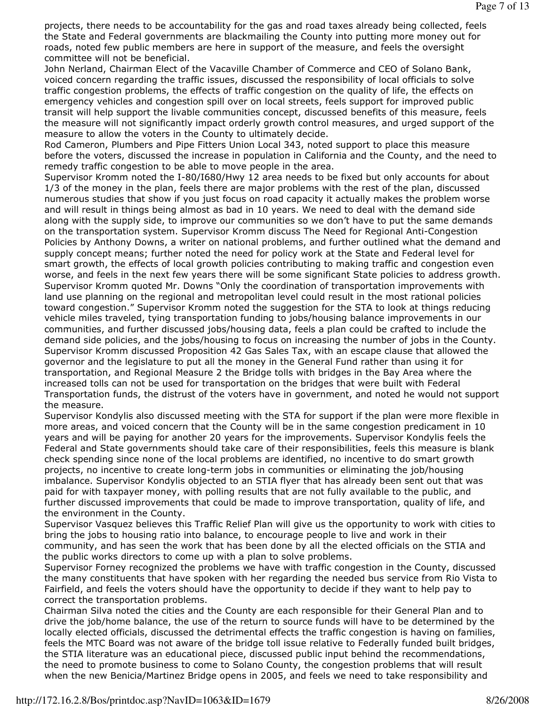projects, there needs to be accountability for the gas and road taxes already being collected, feels the State and Federal governments are blackmailing the County into putting more money out for roads, noted few public members are here in support of the measure, and feels the oversight committee will not be beneficial.

John Nerland, Chairman Elect of the Vacaville Chamber of Commerce and CEO of Solano Bank, voiced concern regarding the traffic issues, discussed the responsibility of local officials to solve traffic congestion problems, the effects of traffic congestion on the quality of life, the effects on emergency vehicles and congestion spill over on local streets, feels support for improved public transit will help support the livable communities concept, discussed benefits of this measure, feels the measure will not significantly impact orderly growth control measures, and urged support of the measure to allow the voters in the County to ultimately decide.

Rod Cameron, Plumbers and Pipe Fitters Union Local 343, noted support to place this measure before the voters, discussed the increase in population in California and the County, and the need to remedy traffic congestion to be able to move people in the area.

Supervisor Kromm noted the I-80/I680/Hwy 12 area needs to be fixed but only accounts for about 1/3 of the money in the plan, feels there are major problems with the rest of the plan, discussed numerous studies that show if you just focus on road capacity it actually makes the problem worse and will result in things being almost as bad in 10 years. We need to deal with the demand side along with the supply side, to improve our communities so we don't have to put the same demands on the transportation system. Supervisor Kromm discuss The Need for Regional Anti-Congestion Policies by Anthony Downs, a writer on national problems, and further outlined what the demand and supply concept means; further noted the need for policy work at the State and Federal level for smart growth, the effects of local growth policies contributing to making traffic and congestion even worse, and feels in the next few years there will be some significant State policies to address growth. Supervisor Kromm quoted Mr. Downs "Only the coordination of transportation improvements with land use planning on the regional and metropolitan level could result in the most rational policies toward congestion." Supervisor Kromm noted the suggestion for the STA to look at things reducing vehicle miles traveled, tying transportation funding to jobs/housing balance improvements in our communities, and further discussed jobs/housing data, feels a plan could be crafted to include the demand side policies, and the jobs/housing to focus on increasing the number of jobs in the County. Supervisor Kromm discussed Proposition 42 Gas Sales Tax, with an escape clause that allowed the governor and the legislature to put all the money in the General Fund rather than using it for transportation, and Regional Measure 2 the Bridge tolls with bridges in the Bay Area where the increased tolls can not be used for transportation on the bridges that were built with Federal Transportation funds, the distrust of the voters have in government, and noted he would not support the measure.

Supervisor Kondylis also discussed meeting with the STA for support if the plan were more flexible in more areas, and voiced concern that the County will be in the same congestion predicament in 10 years and will be paying for another 20 years for the improvements. Supervisor Kondylis feels the Federal and State governments should take care of their responsibilities, feels this measure is blank check spending since none of the local problems are identified, no incentive to do smart growth projects, no incentive to create long-term jobs in communities or eliminating the job/housing imbalance. Supervisor Kondylis objected to an STIA flyer that has already been sent out that was paid for with taxpayer money, with polling results that are not fully available to the public, and further discussed improvements that could be made to improve transportation, quality of life, and the environment in the County.

Supervisor Vasquez believes this Traffic Relief Plan will give us the opportunity to work with cities to bring the jobs to housing ratio into balance, to encourage people to live and work in their community, and has seen the work that has been done by all the elected officials on the STIA and the public works directors to come up with a plan to solve problems.

Supervisor Forney recognized the problems we have with traffic congestion in the County, discussed the many constituents that have spoken with her regarding the needed bus service from Rio Vista to Fairfield, and feels the voters should have the opportunity to decide if they want to help pay to correct the transportation problems.

Chairman Silva noted the cities and the County are each responsible for their General Plan and to drive the job/home balance, the use of the return to source funds will have to be determined by the locally elected officials, discussed the detrimental effects the traffic congestion is having on families, feels the MTC Board was not aware of the bridge toll issue relative to Federally funded built bridges, the STIA literature was an educational piece, discussed public input behind the recommendations, the need to promote business to come to Solano County, the congestion problems that will result when the new Benicia/Martinez Bridge opens in 2005, and feels we need to take responsibility and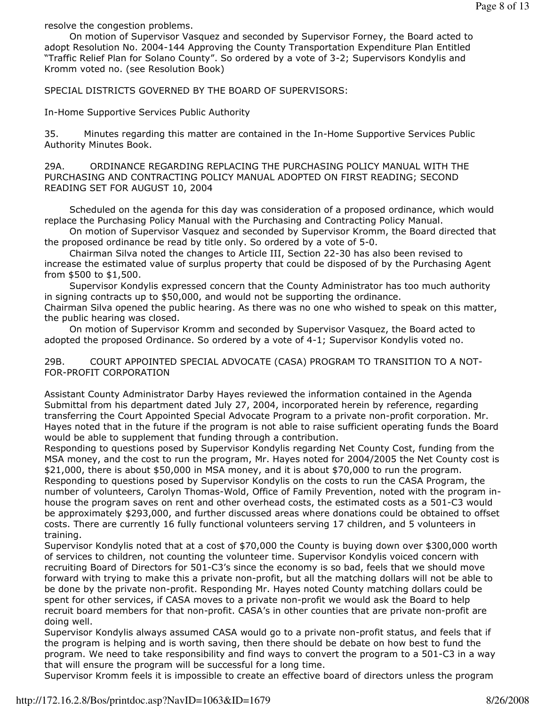resolve the congestion problems.

 On motion of Supervisor Vasquez and seconded by Supervisor Forney, the Board acted to adopt Resolution No. 2004-144 Approving the County Transportation Expenditure Plan Entitled "Traffic Relief Plan for Solano County". So ordered by a vote of 3-2; Supervisors Kondylis and Kromm voted no. (see Resolution Book)

SPECIAL DISTRICTS GOVERNED BY THE BOARD OF SUPERVISORS:

In-Home Supportive Services Public Authority

35. Minutes regarding this matter are contained in the In-Home Supportive Services Public Authority Minutes Book.

29A. ORDINANCE REGARDING REPLACING THE PURCHASING POLICY MANUAL WITH THE PURCHASING AND CONTRACTING POLICY MANUAL ADOPTED ON FIRST READING; SECOND READING SET FOR AUGUST 10, 2004

 Scheduled on the agenda for this day was consideration of a proposed ordinance, which would replace the Purchasing Policy Manual with the Purchasing and Contracting Policy Manual.

 On motion of Supervisor Vasquez and seconded by Supervisor Kromm, the Board directed that the proposed ordinance be read by title only. So ordered by a vote of 5-0.

 Chairman Silva noted the changes to Article III, Section 22-30 has also been revised to increase the estimated value of surplus property that could be disposed of by the Purchasing Agent from \$500 to \$1,500.

 Supervisor Kondylis expressed concern that the County Administrator has too much authority in signing contracts up to \$50,000, and would not be supporting the ordinance.

Chairman Silva opened the public hearing. As there was no one who wished to speak on this matter, the public hearing was closed.

 On motion of Supervisor Kromm and seconded by Supervisor Vasquez, the Board acted to adopted the proposed Ordinance. So ordered by a vote of 4-1; Supervisor Kondylis voted no.

29B. COURT APPOINTED SPECIAL ADVOCATE (CASA) PROGRAM TO TRANSITION TO A NOT-FOR-PROFIT CORPORATION

Assistant County Administrator Darby Hayes reviewed the information contained in the Agenda Submittal from his department dated July 27, 2004, incorporated herein by reference, regarding transferring the Court Appointed Special Advocate Program to a private non-profit corporation. Mr. Hayes noted that in the future if the program is not able to raise sufficient operating funds the Board would be able to supplement that funding through a contribution.

Responding to questions posed by Supervisor Kondylis regarding Net County Cost, funding from the MSA money, and the cost to run the program, Mr. Hayes noted for 2004/2005 the Net County cost is \$21,000, there is about \$50,000 in MSA money, and it is about \$70,000 to run the program. Responding to questions posed by Supervisor Kondylis on the costs to run the CASA Program, the number of volunteers, Carolyn Thomas-Wold, Office of Family Prevention, noted with the program inhouse the program saves on rent and other overhead costs, the estimated costs as a 501-C3 would be approximately \$293,000, and further discussed areas where donations could be obtained to offset costs. There are currently 16 fully functional volunteers serving 17 children, and 5 volunteers in training.

Supervisor Kondylis noted that at a cost of \$70,000 the County is buying down over \$300,000 worth of services to children, not counting the volunteer time. Supervisor Kondylis voiced concern with recruiting Board of Directors for 501-C3's since the economy is so bad, feels that we should move forward with trying to make this a private non-profit, but all the matching dollars will not be able to be done by the private non-profit. Responding Mr. Hayes noted County matching dollars could be spent for other services, if CASA moves to a private non-profit we would ask the Board to help recruit board members for that non-profit. CASA's in other counties that are private non-profit are doing well.

Supervisor Kondylis always assumed CASA would go to a private non-profit status, and feels that if the program is helping and is worth saving, then there should be debate on how best to fund the program. We need to take responsibility and find ways to convert the program to a 501-C3 in a way that will ensure the program will be successful for a long time.

Supervisor Kromm feels it is impossible to create an effective board of directors unless the program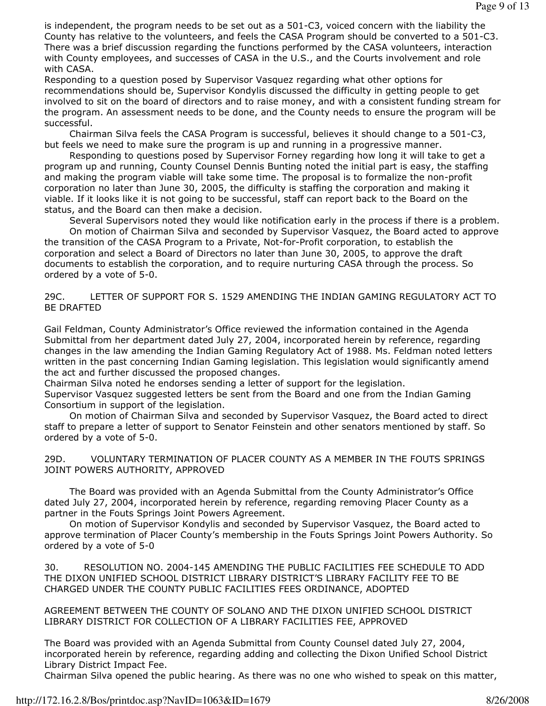is independent, the program needs to be set out as a 501-C3, voiced concern with the liability the County has relative to the volunteers, and feels the CASA Program should be converted to a 501-C3. There was a brief discussion regarding the functions performed by the CASA volunteers, interaction with County employees, and successes of CASA in the U.S., and the Courts involvement and role with CASA.

Responding to a question posed by Supervisor Vasquez regarding what other options for recommendations should be, Supervisor Kondylis discussed the difficulty in getting people to get involved to sit on the board of directors and to raise money, and with a consistent funding stream for the program. An assessment needs to be done, and the County needs to ensure the program will be successful.

 Chairman Silva feels the CASA Program is successful, believes it should change to a 501-C3, but feels we need to make sure the program is up and running in a progressive manner.

 Responding to questions posed by Supervisor Forney regarding how long it will take to get a program up and running, County Counsel Dennis Bunting noted the initial part is easy, the staffing and making the program viable will take some time. The proposal is to formalize the non-profit corporation no later than June 30, 2005, the difficulty is staffing the corporation and making it viable. If it looks like it is not going to be successful, staff can report back to the Board on the status, and the Board can then make a decision.

 Several Supervisors noted they would like notification early in the process if there is a problem. On motion of Chairman Silva and seconded by Supervisor Vasquez, the Board acted to approve the transition of the CASA Program to a Private, Not-for-Profit corporation, to establish the corporation and select a Board of Directors no later than June 30, 2005, to approve the draft documents to establish the corporation, and to require nurturing CASA through the process. So ordered by a vote of 5-0.

29C. LETTER OF SUPPORT FOR S. 1529 AMENDING THE INDIAN GAMING REGULATORY ACT TO BE DRAFTED

Gail Feldman, County Administrator's Office reviewed the information contained in the Agenda Submittal from her department dated July 27, 2004, incorporated herein by reference, regarding changes in the law amending the Indian Gaming Regulatory Act of 1988. Ms. Feldman noted letters written in the past concerning Indian Gaming legislation. This legislation would significantly amend the act and further discussed the proposed changes.

Chairman Silva noted he endorses sending a letter of support for the legislation.

Supervisor Vasquez suggested letters be sent from the Board and one from the Indian Gaming Consortium in support of the legislation.

 On motion of Chairman Silva and seconded by Supervisor Vasquez, the Board acted to direct staff to prepare a letter of support to Senator Feinstein and other senators mentioned by staff. So ordered by a vote of 5-0.

29D. VOLUNTARY TERMINATION OF PLACER COUNTY AS A MEMBER IN THE FOUTS SPRINGS JOINT POWERS AUTHORITY, APPROVED

 The Board was provided with an Agenda Submittal from the County Administrator's Office dated July 27, 2004, incorporated herein by reference, regarding removing Placer County as a partner in the Fouts Springs Joint Powers Agreement.

 On motion of Supervisor Kondylis and seconded by Supervisor Vasquez, the Board acted to approve termination of Placer County's membership in the Fouts Springs Joint Powers Authority. So ordered by a vote of 5-0

30. RESOLUTION NO. 2004-145 AMENDING THE PUBLIC FACILITIES FEE SCHEDULE TO ADD THE DIXON UNIFIED SCHOOL DISTRICT LIBRARY DISTRICT'S LIBRARY FACILITY FEE TO BE CHARGED UNDER THE COUNTY PUBLIC FACILITIES FEES ORDINANCE, ADOPTED

AGREEMENT BETWEEN THE COUNTY OF SOLANO AND THE DIXON UNIFIED SCHOOL DISTRICT LIBRARY DISTRICT FOR COLLECTION OF A LIBRARY FACILITIES FEE, APPROVED

The Board was provided with an Agenda Submittal from County Counsel dated July 27, 2004, incorporated herein by reference, regarding adding and collecting the Dixon Unified School District Library District Impact Fee.

Chairman Silva opened the public hearing. As there was no one who wished to speak on this matter,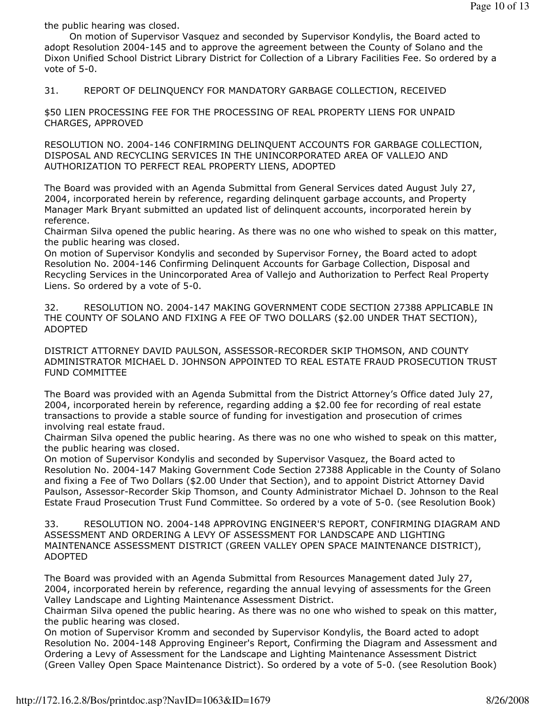the public hearing was closed.

 On motion of Supervisor Vasquez and seconded by Supervisor Kondylis, the Board acted to adopt Resolution 2004-145 and to approve the agreement between the County of Solano and the Dixon Unified School District Library District for Collection of a Library Facilities Fee. So ordered by a vote of 5-0.

31. REPORT OF DELINQUENCY FOR MANDATORY GARBAGE COLLECTION, RECEIVED

\$50 LIEN PROCESSING FEE FOR THE PROCESSING OF REAL PROPERTY LIENS FOR UNPAID CHARGES, APPROVED

RESOLUTION NO. 2004-146 CONFIRMING DELINQUENT ACCOUNTS FOR GARBAGE COLLECTION, DISPOSAL AND RECYCLING SERVICES IN THE UNINCORPORATED AREA OF VALLEJO AND AUTHORIZATION TO PERFECT REAL PROPERTY LIENS, ADOPTED

The Board was provided with an Agenda Submittal from General Services dated August July 27, 2004, incorporated herein by reference, regarding delinquent garbage accounts, and Property Manager Mark Bryant submitted an updated list of delinquent accounts, incorporated herein by reference.

Chairman Silva opened the public hearing. As there was no one who wished to speak on this matter, the public hearing was closed.

On motion of Supervisor Kondylis and seconded by Supervisor Forney, the Board acted to adopt Resolution No. 2004-146 Confirming Delinquent Accounts for Garbage Collection, Disposal and Recycling Services in the Unincorporated Area of Vallejo and Authorization to Perfect Real Property Liens. So ordered by a vote of 5-0.

32. RESOLUTION NO. 2004-147 MAKING GOVERNMENT CODE SECTION 27388 APPLICABLE IN THE COUNTY OF SOLANO AND FIXING A FEE OF TWO DOLLARS (\$2.00 UNDER THAT SECTION), ADOPTED

DISTRICT ATTORNEY DAVID PAULSON, ASSESSOR-RECORDER SKIP THOMSON, AND COUNTY ADMINISTRATOR MICHAEL D. JOHNSON APPOINTED TO REAL ESTATE FRAUD PROSECUTION TRUST FUND COMMITTEE

The Board was provided with an Agenda Submittal from the District Attorney's Office dated July 27, 2004, incorporated herein by reference, regarding adding a \$2.00 fee for recording of real estate transactions to provide a stable source of funding for investigation and prosecution of crimes involving real estate fraud.

Chairman Silva opened the public hearing. As there was no one who wished to speak on this matter, the public hearing was closed.

On motion of Supervisor Kondylis and seconded by Supervisor Vasquez, the Board acted to Resolution No. 2004-147 Making Government Code Section 27388 Applicable in the County of Solano and fixing a Fee of Two Dollars (\$2.00 Under that Section), and to appoint District Attorney David Paulson, Assessor-Recorder Skip Thomson, and County Administrator Michael D. Johnson to the Real Estate Fraud Prosecution Trust Fund Committee. So ordered by a vote of 5-0. (see Resolution Book)

33. RESOLUTION NO. 2004-148 APPROVING ENGINEER'S REPORT, CONFIRMING DIAGRAM AND ASSESSMENT AND ORDERING A LEVY OF ASSESSMENT FOR LANDSCAPE AND LIGHTING MAINTENANCE ASSESSMENT DISTRICT (GREEN VALLEY OPEN SPACE MAINTENANCE DISTRICT), ADOPTED

The Board was provided with an Agenda Submittal from Resources Management dated July 27, 2004, incorporated herein by reference, regarding the annual levying of assessments for the Green Valley Landscape and Lighting Maintenance Assessment District.

Chairman Silva opened the public hearing. As there was no one who wished to speak on this matter, the public hearing was closed.

On motion of Supervisor Kromm and seconded by Supervisor Kondylis, the Board acted to adopt Resolution No. 2004-148 Approving Engineer's Report, Confirming the Diagram and Assessment and Ordering a Levy of Assessment for the Landscape and Lighting Maintenance Assessment District (Green Valley Open Space Maintenance District). So ordered by a vote of 5-0. (see Resolution Book)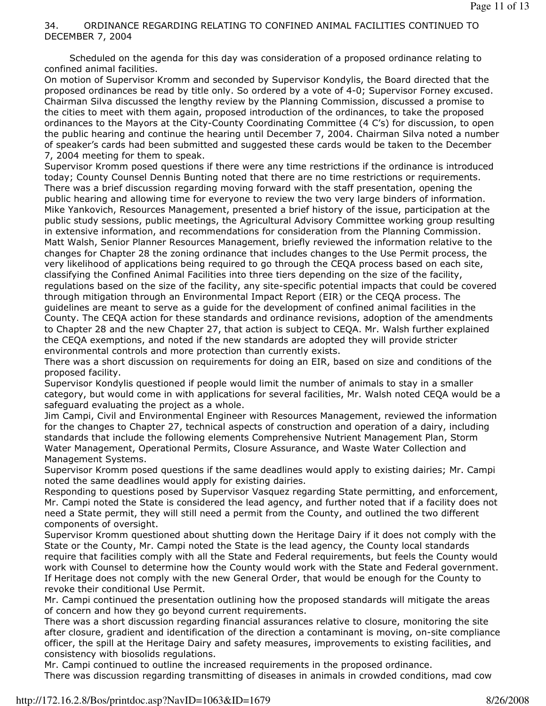# 34. ORDINANCE REGARDING RELATING TO CONFINED ANIMAL FACILITIES CONTINUED TO DECEMBER 7, 2004

 Scheduled on the agenda for this day was consideration of a proposed ordinance relating to confined animal facilities.

On motion of Supervisor Kromm and seconded by Supervisor Kondylis, the Board directed that the proposed ordinances be read by title only. So ordered by a vote of 4-0; Supervisor Forney excused. Chairman Silva discussed the lengthy review by the Planning Commission, discussed a promise to the cities to meet with them again, proposed introduction of the ordinances, to take the proposed ordinances to the Mayors at the City-County Coordinating Committee (4 C's) for discussion, to open the public hearing and continue the hearing until December 7, 2004. Chairman Silva noted a number of speaker's cards had been submitted and suggested these cards would be taken to the December 7, 2004 meeting for them to speak.

Supervisor Kromm posed questions if there were any time restrictions if the ordinance is introduced today; County Counsel Dennis Bunting noted that there are no time restrictions or requirements. There was a brief discussion regarding moving forward with the staff presentation, opening the public hearing and allowing time for everyone to review the two very large binders of information. Mike Yankovich, Resources Management, presented a brief history of the issue, participation at the public study sessions, public meetings, the Agricultural Advisory Committee working group resulting in extensive information, and recommendations for consideration from the Planning Commission. Matt Walsh, Senior Planner Resources Management, briefly reviewed the information relative to the changes for Chapter 28 the zoning ordinance that includes changes to the Use Permit process, the very likelihood of applications being required to go through the CEQA process based on each site, classifying the Confined Animal Facilities into three tiers depending on the size of the facility, regulations based on the size of the facility, any site-specific potential impacts that could be covered through mitigation through an Environmental Impact Report (EIR) or the CEQA process. The guidelines are meant to serve as a guide for the development of confined animal facilities in the County. The CEQA action for these standards and ordinance revisions, adoption of the amendments to Chapter 28 and the new Chapter 27, that action is subject to CEQA. Mr. Walsh further explained the CEQA exemptions, and noted if the new standards are adopted they will provide stricter environmental controls and more protection than currently exists.

There was a short discussion on requirements for doing an EIR, based on size and conditions of the proposed facility.

Supervisor Kondylis questioned if people would limit the number of animals to stay in a smaller category, but would come in with applications for several facilities, Mr. Walsh noted CEQA would be a safeguard evaluating the project as a whole.

Jim Campi, Civil and Environmental Engineer with Resources Management, reviewed the information for the changes to Chapter 27, technical aspects of construction and operation of a dairy, including standards that include the following elements Comprehensive Nutrient Management Plan, Storm Water Management, Operational Permits, Closure Assurance, and Waste Water Collection and Management Systems.

Supervisor Kromm posed questions if the same deadlines would apply to existing dairies; Mr. Campi noted the same deadlines would apply for existing dairies.

Responding to questions posed by Supervisor Vasquez regarding State permitting, and enforcement, Mr. Campi noted the State is considered the lead agency, and further noted that if a facility does not need a State permit, they will still need a permit from the County, and outlined the two different components of oversight.

Supervisor Kromm questioned about shutting down the Heritage Dairy if it does not comply with the State or the County, Mr. Campi noted the State is the lead agency, the County local standards require that facilities comply with all the State and Federal requirements, but feels the County would work with Counsel to determine how the County would work with the State and Federal government. If Heritage does not comply with the new General Order, that would be enough for the County to revoke their conditional Use Permit.

Mr. Campi continued the presentation outlining how the proposed standards will mitigate the areas of concern and how they go beyond current requirements.

There was a short discussion regarding financial assurances relative to closure, monitoring the site after closure, gradient and identification of the direction a contaminant is moving, on-site compliance officer, the spill at the Heritage Dairy and safety measures, improvements to existing facilities, and consistency with biosolids regulations.

Mr. Campi continued to outline the increased requirements in the proposed ordinance. There was discussion regarding transmitting of diseases in animals in crowded conditions, mad cow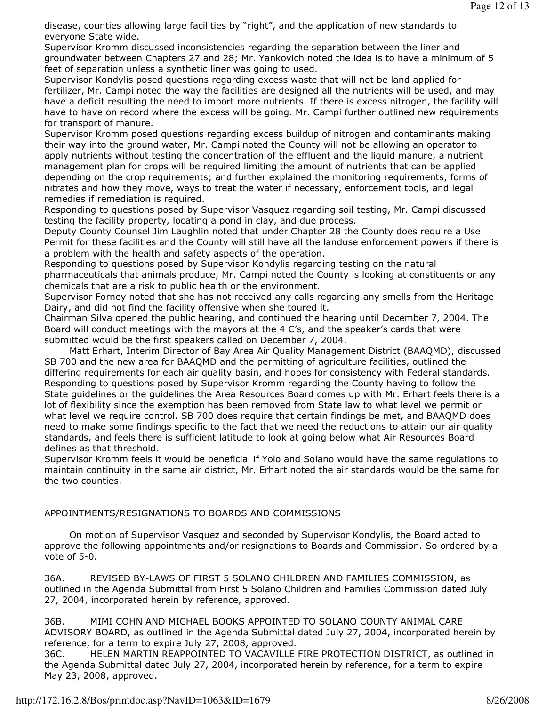disease, counties allowing large facilities by "right", and the application of new standards to everyone State wide.

Supervisor Kromm discussed inconsistencies regarding the separation between the liner and groundwater between Chapters 27 and 28; Mr. Yankovich noted the idea is to have a minimum of 5 feet of separation unless a synthetic liner was going to used.

Supervisor Kondylis posed questions regarding excess waste that will not be land applied for fertilizer, Mr. Campi noted the way the facilities are designed all the nutrients will be used, and may have a deficit resulting the need to import more nutrients. If there is excess nitrogen, the facility will have to have on record where the excess will be going. Mr. Campi further outlined new requirements for transport of manure.

Supervisor Kromm posed questions regarding excess buildup of nitrogen and contaminants making their way into the ground water, Mr. Campi noted the County will not be allowing an operator to apply nutrients without testing the concentration of the effluent and the liquid manure, a nutrient management plan for crops will be required limiting the amount of nutrients that can be applied depending on the crop requirements; and further explained the monitoring requirements, forms of nitrates and how they move, ways to treat the water if necessary, enforcement tools, and legal remedies if remediation is required.

Responding to questions posed by Supervisor Vasquez regarding soil testing, Mr. Campi discussed testing the facility property, locating a pond in clay, and due process.

Deputy County Counsel Jim Laughlin noted that under Chapter 28 the County does require a Use Permit for these facilities and the County will still have all the landuse enforcement powers if there is a problem with the health and safety aspects of the operation.

Responding to questions posed by Supervisor Kondylis regarding testing on the natural pharmaceuticals that animals produce, Mr. Campi noted the County is looking at constituents or any chemicals that are a risk to public health or the environment.

Supervisor Forney noted that she has not received any calls regarding any smells from the Heritage Dairy, and did not find the facility offensive when she toured it.

Chairman Silva opened the public hearing, and continued the hearing until December 7, 2004. The Board will conduct meetings with the mayors at the 4 C's, and the speaker's cards that were submitted would be the first speakers called on December 7, 2004.

 Matt Erhart, Interim Director of Bay Area Air Quality Management District (BAAQMD), discussed SB 700 and the new area for BAAQMD and the permitting of agriculture facilities, outlined the differing requirements for each air quality basin, and hopes for consistency with Federal standards. Responding to questions posed by Supervisor Kromm regarding the County having to follow the State guidelines or the guidelines the Area Resources Board comes up with Mr. Erhart feels there is a lot of flexibility since the exemption has been removed from State law to what level we permit or what level we require control. SB 700 does require that certain findings be met, and BAAQMD does need to make some findings specific to the fact that we need the reductions to attain our air quality standards, and feels there is sufficient latitude to look at going below what Air Resources Board defines as that threshold.

Supervisor Kromm feels it would be beneficial if Yolo and Solano would have the same regulations to maintain continuity in the same air district, Mr. Erhart noted the air standards would be the same for the two counties.

## APPOINTMENTS/RESIGNATIONS TO BOARDS AND COMMISSIONS

 On motion of Supervisor Vasquez and seconded by Supervisor Kondylis, the Board acted to approve the following appointments and/or resignations to Boards and Commission. So ordered by a vote of 5-0.

36A. REVISED BY-LAWS OF FIRST 5 SOLANO CHILDREN AND FAMILIES COMMISSION, as outlined in the Agenda Submittal from First 5 Solano Children and Families Commission dated July 27, 2004, incorporated herein by reference, approved.

36B. MIMI COHN AND MICHAEL BOOKS APPOINTED TO SOLANO COUNTY ANIMAL CARE ADVISORY BOARD, as outlined in the Agenda Submittal dated July 27, 2004, incorporated herein by reference, for a term to expire July 27, 2008, approved.

36C. HELEN MARTIN REAPPOINTED TO VACAVILLE FIRE PROTECTION DISTRICT, as outlined in the Agenda Submittal dated July 27, 2004, incorporated herein by reference, for a term to expire May 23, 2008, approved.